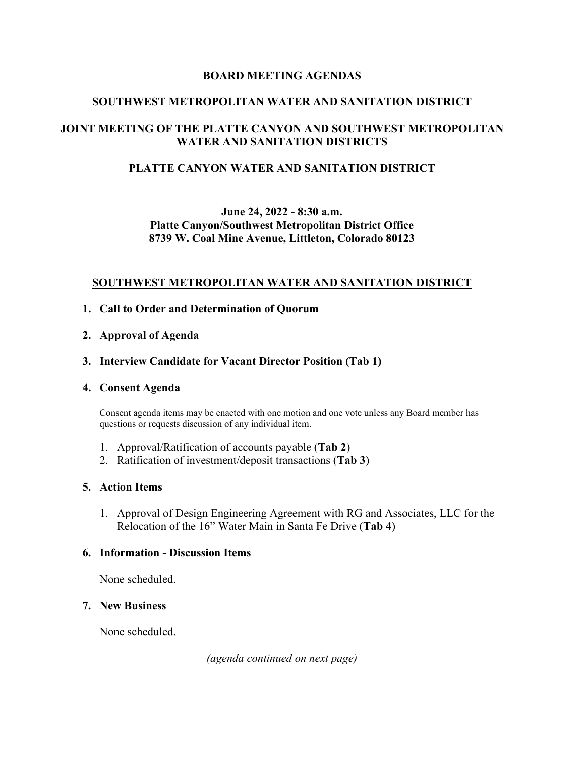### **BOARD MEETING AGENDAS**

### **SOUTHWEST METROPOLITAN WATER AND SANITATION DISTRICT**

## **JOINT MEETING OF THE PLATTE CANYON AND SOUTHWEST METROPOLITAN WATER AND SANITATION DISTRICTS**

### **PLATTE CANYON WATER AND SANITATION DISTRICT**

## **June 24, 2022 - 8:30 a.m. Platte Canyon/Southwest Metropolitan District Office 8739 W. Coal Mine Avenue, Littleton, Colorado 80123**

#### **SOUTHWEST METROPOLITAN WATER AND SANITATION DISTRICT**

- **1. Call to Order and Determination of Quorum**
- **2. Approval of Agenda**
- **3. Interview Candidate for Vacant Director Position (Tab 1)**

#### **4. Consent Agenda**

Consent agenda items may be enacted with one motion and one vote unless any Board member has questions or requests discussion of any individual item.

- 1. Approval/Ratification of accounts payable (**Tab 2**)
- 2. Ratification of investment/deposit transactions (**Tab 3**)

### **5. Action Items**

1. Approval of Design Engineering Agreement with RG and Associates, LLC for the Relocation of the 16" Water Main in Santa Fe Drive (**Tab 4**)

### **6. Information - Discussion Items**

None scheduled.

### **7. New Business**

None scheduled.

*(agenda continued on next page)*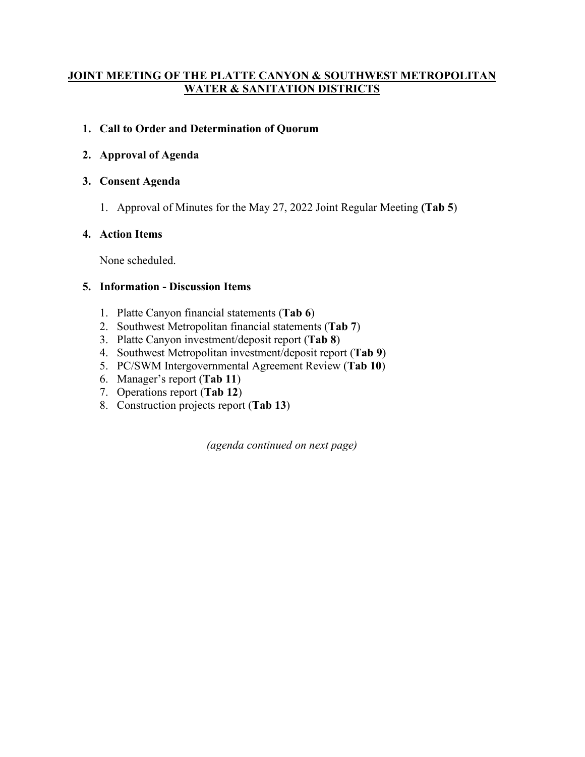## **JOINT MEETING OF THE PLATTE CANYON & SOUTHWEST METROPOLITAN WATER & SANITATION DISTRICTS**

# **1. Call to Order and Determination of Quorum**

# **2. Approval of Agenda**

# **3. Consent Agenda**

1. Approval of Minutes for the May 27, 2022 Joint Regular Meeting **(Tab 5**)

# **4. Action Items**

None scheduled.

## **5. Information - Discussion Items**

- 1. Platte Canyon financial statements (**Tab 6**)
- 2. Southwest Metropolitan financial statements (**Tab 7**)
- 3. Platte Canyon investment/deposit report (**Tab 8**)
- 4. Southwest Metropolitan investment/deposit report (**Tab 9**)
- 5. PC/SWM Intergovernmental Agreement Review (**Tab 10**)
- 6. Manager's report (**Tab 11**)
- 7. Operations report (**Tab 12**)
- 8. Construction projects report (**Tab 13**)

*(agenda continued on next page)*